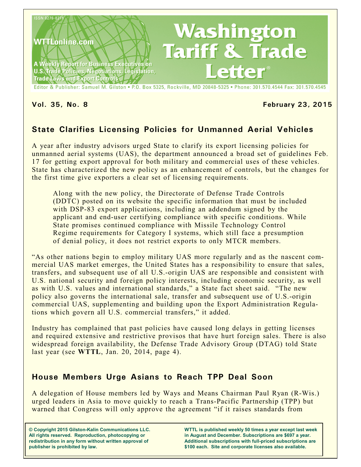

Editor & Publisher: Samuel M. Gilston . P.O. Box 5325, Rockville, MD 20848-5325 . Phone: 301.570.4544 Fax: 301.570.4545

## **Vol. 35, No. 8 February 23, 2015**

# **State Clarifies Licensing Policies for Unmanned Aerial Vehicles**

A year after industry advisors urged State to clarify its export licensing policies for unmanned aerial systems (UAS), the department announced a broad set of guidelines Feb. 17 for getting export approval for both military and commercial uses of these vehicles. State has characterized the new policy as an enhancement of controls, but the changes for the first time give exporters a clear set of licensing requirements.

Along with the new policy, the Directorate of Defense Trade Controls (DDTC) posted on its website the specific information that must be included with DSP-83 export applications, including an addendum signed by the applicant and end-user certifying compliance with specific conditions. While State promises continued compliance with Missile Technology Control Regime requirements for Category I systems, which still face a presumption of denial policy, it does not restrict exports to only MTCR members.

"As other nations begin to employ military UAS more regularly and as the nascent commercial UAS market emerges, the United States has a responsibility to ensure that sales, transfers, and subsequent use of all U.S.-origin UAS are responsible and consistent with U.S. national security and foreign policy interests, including economic security, as well as with U.S. values and international standards," a State fact sheet said. "The new policy also governs the international sale, transfer and subsequent use of U.S.-origin commercial UAS, supplementing and building upon the Export Administration Regulations which govern all U.S. commercial transfers," it added.

Industry has complained that past policies have caused long delays in getting licenses and required extensive and restrictive provisos that have hurt foreign sales. There is also widespread foreign availability, the Defense Trade Advisory Group (DTAG) told State last year (see **WTTL**, Jan. 20, 2014, page 4).

# **House Members Urge Asians to Reach TPP Deal Soon**

A delegation of House members led by Ways and Means Chairman Paul Ryan (R-Wis.) urged leaders in Asia to move quickly to reach a Trans-Pacific Partnership (TPP) but warned that Congress will only approve the agreement "if it raises standards from

**© Copyright 2015 Gilston-Kalin Communications LLC. All rights reserved. Reproduction, photocopying or redistribution in any form without written approval of publisher is prohibited by law.** 

**WTTL is published weekly 50 times a year except last week in August and December. Subscriptions are \$697 a year. Additional subscriptions with full-priced subscriptions are \$100 each. Site and corporate licenses also available.**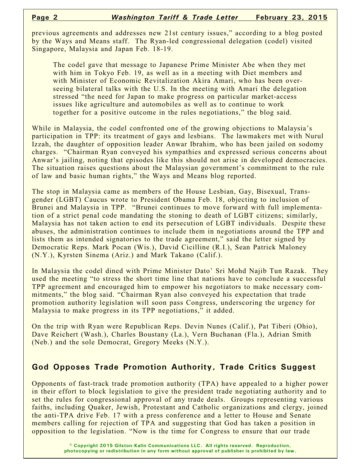previous agreements and addresses new 21st century issues," according to a blog posted by the Ways and Means staff. The Ryan-led congressional delegation (codel) visited Singapore, Malaysia and Japan Feb. 18-19.

The codel gave that message to Japanese Prime Minister Abe when they met with him in Tokyo Feb. 19, as well as in a meeting with Diet members and with Minister of Economic Revitalization Akira Amari, who has been overseeing bilateral talks with the U.S. In the meeting with Amari the delegation stressed "the need for Japan to make progress on particular market-access issues like agriculture and automobiles as well as to continue to work together for a positive outcome in the rules negotiations," the blog said.

While in Malaysia, the codel confronted one of the growing objections to Malaysia's participation in TPP: its treatment of gays and lesbians. The lawmakers met with Nurul Izzah, the daughter of opposition leader Anwar Ibrahim, who has been jailed on sodomy charges. "Chairman Ryan conveyed his sympathies and expressed serious concerns about Anwar's jailing, noting that episodes like this should not arise in developed democracies. The situation raises questions about the Malaysian government's commitment to the rule of law and basic human rights," the Ways and Means blog reported.

The stop in Malaysia came as members of the House Lesbian, Gay, Bisexual, Transgender (LGBT) Caucus wrote to President Obama Feb. 18, objecting to inclusion of Brunei and Malaysia in TPP. "Brunei continues to move forward with full implementation of a strict penal code mandating the stoning to death of LGBT citizens; similarly, Malaysia has not taken action to end its persecution of LGBT individuals. Despite these abuses, the administration continues to include them in negotiations around the TPP and lists them as intended signatories to the trade agreement," said the letter signed by Democratic Reps. Mark Pocan (Wis.), David Cicilline (R.I.), Sean Patrick Maloney (N.Y.), Kyrsten Sinema (Ariz.) and Mark Takano (Calif.).

In Malaysia the codel dined with Prime Minister Dato' Sri Mohd Najib Tun Razak. They used the meeting "to stress the short time line that nations have to conclude a successful TPP agreement and encouraged him to empower his negotiators to make necessary commitments," the blog said. "Chairman Ryan also conveyed his expectation that trade promotion authority legislation will soon pass Congress, underscoring the urgency for Malaysia to make progress in its TPP negotiations," it added.

On the trip with Ryan were Republican Reps. Devin Nunes (Calif.), Pat Tiberi (Ohio), Dave Reichert (Wash.), Charles Boustany (La.), Vern Buchanan (Fla.), Adrian Smith (Neb.) and the sole Democrat, Gregory Meeks (N.Y.).

# **God Opposes Trade Promotion Authority, Trade Critics Suggest**

Opponents of fast-track trade promotion authority (TPA) have appealed to a higher power in their effort to block legislation to give the president trade negotiating authority and to set the rules for congressional approval of any trade deals. Groups representing various faiths, including Quaker, Jewish, Protestant and Catholic organizations and clergy, joined the anti-TPA drive Feb. 17 with a press conference and a letter to House and Senate members calling for rejection of TPA and suggesting that God has taken a position in opposition to the legislation. "Now is the time for Congress to ensure that our trade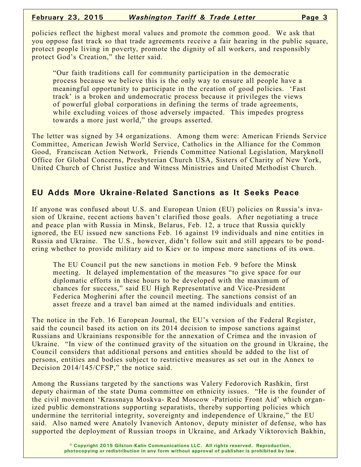policies reflect the highest moral values and promote the common good. We ask that you oppose fast track so that trade agreements receive a fair hearing in the public square, protect people living in poverty, promote the dignity of all workers, and responsibly protect God's Creation," the letter said.

"Our faith traditions call for community participation in the democratic process because we believe this is the only way to ensure all people have a meaningful opportunity to participate in the creation of good policies. 'Fast track' is a broken and undemocratic process because it privileges the views of powerful global corporations in defining the terms of trade agreements, while excluding voices of those adversely impacted. This impedes progress towards a more just world," the groups asserted.

The letter was signed by 34 organizations. Among them were: American Friends Service Committee, American Jewish World Service, Catholics in the Alliance for the Common Good, Franciscan Action Network, Friends Committee National Legislation, Maryknoll Office for Global Concerns, Presbyterian Church USA, Sisters of Charity of New York, United Church of Christ Justice and Witness Ministries and United Methodist Church.

# **EU Adds More Ukraine-Related Sanctions as It Seeks Peace**

If anyone was confused about U.S. and European Union (EU) policies on Russia's invasion of Ukraine, recent actions haven't clarified those goals. After negotiating a truce and peace plan with Russia in Minsk, Belarus, Feb. 12, a truce that Russia quickly ignored, the EU issued new sanctions Feb. 16 against 19 individuals and nine entities in Russia and Ukraine. The U.S., however, didn't follow suit and still appears to be pondering whether to provide military aid to Kiev or to impose more sanctions of its own.

The EU Council put the new sanctions in motion Feb. 9 before the Minsk meeting. It delayed implementation of the measures "to give space for our diplomatic efforts in these hours to be developed with the maximum of chances for success," said EU High Representative and Vice-President Federica Mogherini after the council meeting. The sanctions consist of an asset freeze and a travel ban aimed at the named individuals and entities.

The notice in the Feb. 16 European Journal, the EU's version of the Federal Register, said the council based its action on its 2014 decision to impose sanctions against Russians and Ukrainians responsible for the annexation of Crimea and the invasion of Ukraine. "In view of the continued gravity of the situation on the ground in Ukraine, the Council considers that additional persons and entities should be added to the list of persons, entities and bodies subject to restrictive measures as set out in the Annex to Decision 2014/145/CFSP," the notice said.

Among the Russians targeted by the sanctions was Valery Fedorovich Rashkin, first deputy chairman of the state Duma committee on ethnicity issues. "He is the founder of the civil movement 'Krassnaya Moskva- Red Moscow -Patriotic Front Aid' which organized public demonstrations supporting separatists, thereby supporting policies which undermine the territorial integrity, sovereignty and independence of Ukraine," the EU said. Also named were Anatoly Ivanovich Antonov, deputy minister of defense, who has supported the deployment of Russian troops in Ukraine, and Arkady Viktorovich Bakhin,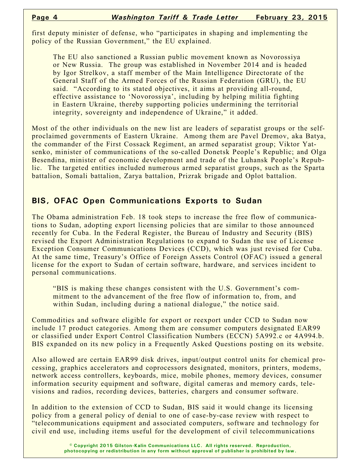first deputy minister of defense, who "participates in shaping and implementing the policy of the Russian Government," the EU explained.

The EU also sanctioned a Russian public movement known as Novorossiya or New Russia. The group was established in November 2014 and is headed by Igor Strelkov, a staff member of the Main Intelligence Directorate of the General Staff of the Armed Forces of the Russian Federation (GRU), the EU said. "According to its stated objectives, it aims at providing all-round, effective assistance to 'Novorossiya', including by helping militia fighting in Eastern Ukraine, thereby supporting policies undermining the territorial integrity, sovereignty and independence of Ukraine," it added.

Most of the other individuals on the new list are leaders of separatist groups or the selfproclaimed governments of Eastern Ukraine. Among them are Pavel Dremov, aka Batya, the commander of the First Cossack Regiment, an armed separatist group; Viktor Yatsenko, minister of communications of the so-called Donetsk People's Republic; and Olga Besendina, minister of economic development and trade of the Luhansk People's Republic. The targeted entities included numerous armed separatist groups, such as the Sparta battalion, Somali battalion, Zarya battalion, Prizrak brigade and Oplot battalion.

# **BIS, OFAC Open Communications Exports to Sudan**

The Obama administration Feb. 18 took steps to increase the free flow of communications to Sudan, adopting export licensing policies that are similar to those announced recently for Cuba. In the Federal Register, the Bureau of Industry and Security (BIS) revised the Export Administration Regulations to expand to Sudan the use of License Exception Consumer Communications Devices (CCD), which was just revised for Cuba. At the same time, Treasury's Office of Foreign Assets Control (OFAC) issued a general license for the export to Sudan of certain software, hardware, and services incident to personal communications.

"BIS is making these changes consistent with the U.S. Government's commitment to the advancement of the free flow of information to, from, and within Sudan, including during a national dialogue," the notice said.

Commodities and software eligible for export or reexport under CCD to Sudan now include 17 product categories. Among them are consumer computers designated EAR99 or classified under Export Control Classification Numbers (ECCN) 5A992.c or 4A994.b. BIS expanded on its new policy in a Frequently Asked Questions posting on its website.

Also allowed are certain EAR99 disk drives, input/output control units for chemical processing, graphics accelerators and coprocessors designated, monitors, printers, modems, network access controllers, keyboards, mice, mobile phones, memory devices, consumer information security equipment and software, digital cameras and memory cards, televisions and radios, recording devices, batteries, chargers and consumer software.

In addition to the extension of CCD to Sudan, BIS said it would change its licensing policy from a general policy of denial to one of case-by-case review with respect to "telecommunications equipment and associated computers, software and technology for civil end use, including items useful for the development of civil telecommunications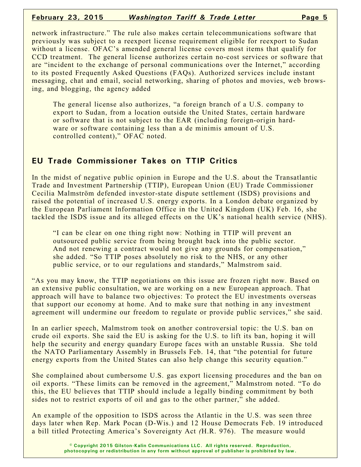### **February 23, 2015** *Washington Tariff & Trade Letter* **Page 5**

network infrastructure." The rule also makes certain telecommunications software that previously was subject to a reexport license requirement eligible for reexport to Sudan without a license. OFAC's amended general license covers most items that qualify for CCD treatment. The general license authorizes certain no-cost services or software that are "incident to the exchange of personal communications over the Internet," according to its posted Frequently Asked Questions (FAQs). Authorized services include instant messaging, chat and email, social networking, sharing of photos and movies, web browsing, and blogging, the agency added

The general license also authorizes, "a foreign branch of a U.S. company to export to Sudan, from a location outside the United States, certain hardware or software that is not subject to the EAR (including foreign-origin hardware or software containing less than a de minimis amount of U.S. controlled content)," OFAC noted.

# **EU Trade Commissioner Takes on TTIP Critics**

In the midst of negative public opinion in Europe and the U.S. about the Transatlantic Trade and Investment Partnership (TTIP), European Union (EU) Trade Commissioner Cecilia Malmström defended investor-state dispute settlement (ISDS) provisions and raised the potential of increased U.S. energy exports. In a London debate organized by the European Parliament Information Office in the United Kingdom (UK) Feb. 16, she tackled the ISDS issue and its alleged effects on the UK's national health service (NHS).

"I can be clear on one thing right now: Nothing in TTIP will prevent an outsourced public service from being brought back into the public sector. And not renewing a contract would not give any grounds for compensation," she added. "So TTIP poses absolutely no risk to the NHS, or any other public service, or to our regulations and standards," Malmstrom said.

"As you may know, the TTIP negotiations on this issue are frozen right now. Based on an extensive public consultation, we are working on a new European approach. That approach will have to balance two objectives: To protect the EU investments overseas that support our economy at home. And to make sure that nothing in any investment agreement will undermine our freedom to regulate or provide public services," she said.

In an earlier speech, Malmstrom took on another controversial topic: the U.S. ban on crude oil exports. She said the EU is asking for the U.S. to lift its ban, hoping it will help the security and energy quandary Europe faces with an unstable Russia. She told the NATO Parliamentary Assembly in Brussels Feb. 14, that "the potential for future energy exports from the United States can also help change this security equation."

She complained about cumbersome U.S. gas export licensing procedures and the ban on oil exports. "These limits can be removed in the agreement," Malmstrom noted. "To do this, the EU believes that TTIP should include a legally binding commitment by both sides not to restrict exports of oil and gas to the other partner," she added.

An example of the opposition to ISDS across the Atlantic in the U.S. was seen three days later when Rep. Mark Pocan (D-Wis.) and 12 House Democrats Feb. 19 introduced a bill titled Protecting America's Sovereignty Act *(*H.R. 976). The measure would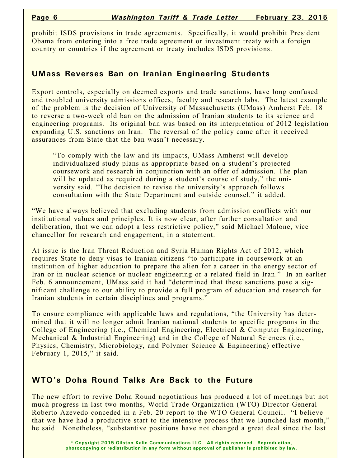prohibit ISDS provisions in trade agreements. Specifically, it would prohibit President Obama from entering into a free trade agreement or investment treaty with a foreign country or countries if the agreement or treaty includes ISDS provisions.

## **UMass Reverses Ban on Iranian Engineering Students**

Export controls, especially on deemed exports and trade sanctions, have long confused and troubled university admissions offices, faculty and research labs. The latest example of the problem is the decision of University of Massachusetts (UMass) Amherst Feb. 18 to reverse a two-week old ban on the admission of Iranian students to its science and engineering programs. Its original ban was based on its interpretation of 2012 legislation expanding U.S. sanctions on Iran. The reversal of the policy came after it received assurances from State that the ban wasn't necessary.

"To comply with the law and its impacts, UMass Amherst will develop individualized study plans as appropriate based on a student's projected coursework and research in conjunction with an offer of admission. The plan will be updated as required during a student's course of study," the university said. "The decision to revise the university's approach follows consultation with the State Department and outside counsel," it added.

"We have always believed that excluding students from admission conflicts with our institutional values and principles. It is now clear, after further consultation and deliberation, that we can adopt a less restrictive policy," said Michael Malone, vice chancellor for research and engagement, in a statement.

At issue is the Iran Threat Reduction and Syria Human Rights Act of 2012, which requires State to deny visas to Iranian citizens "to participate in coursework at an institution of higher education to prepare the alien for a career in the energy sector of Iran or in nuclear science or nuclear engineering or a related field in Iran." In an earlier Feb. 6 announcement, UMass said it had "determined that these sanctions pose a significant challenge to our ability to provide a full program of education and research for Iranian students in certain disciplines and programs."

To ensure compliance with applicable laws and regulations, "the University has determined that it will no longer admit Iranian national students to specific programs in the College of Engineering (i.e., Chemical Engineering, Electrical & Computer Engineering, Mechanical & Industrial Engineering) and in the College of Natural Sciences (i.e., Physics, Chemistry, Microbiology, and Polymer Science & Engineering) effective February 1, 2015," it said.

## **WTO's Doha Round Talks Are Back to the Future**

The new effort to revive Doha Round negotiations has produced a lot of meetings but not much progress in last two months, World Trade Organization (WTO) Director-General Roberto Azevedo conceded in a Feb. 20 report to the WTO General Council. "I believe that we have had a productive start to the intensive process that we launched last month," he said. Nonetheless, "substantive positions have not changed a great deal since the last

> **© Copyright 2015 Gilston-Kalin Communications LLC. All rights reserved. Reproduction, photocopying or redistribution in any form without approval of publisher is prohibited by law.**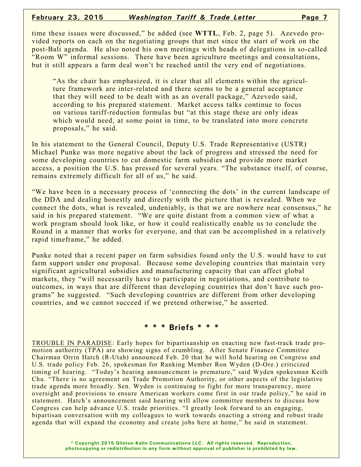#### **February 23, 2015** *Washington Tariff & Trade Letter* **Page 7**

time these issues were discussed," he added (see **WTTL**, Feb. 2, page 5). Azevedo provided reports on each on the negotiating groups that met since the start of work on the post-Bali agenda. He also noted his own meetings with heads of delegations in so-called "Room W" informal sessions. There have been agriculture meetings and consultations, but it still appears a farm deal won't be reached until the very end of negotiations.

"As the chair has emphasized, it is clear that all elements within the agriculture framework are inter-related and there seems to be a general acceptance that they will need to be dealt with as an overall package," Azevedo said, according to his prepared statement. Market access talks continue to focus on various tariff-reduction formulas but "at this stage these are only ideas which would need, at some point in time, to be translated into more concrete proposals," he said.

In his statement to the General Council, Deputy U.S. Trade Representative (USTR) Michael Punke was more negative about the lack of progress and stressed the need for some developing countries to cut domestic farm subsidies and provide more market access, a position the U.S. has pressed for several years. "The substance itself, of course, remains extremely difficult for all of us," he said.

"We have been in a necessary process of 'connecting the dots' in the current landscape of the DDA and dealing honestly and directly with the picture that is revealed. When we connect the dots, what is revealed, undeniably, is that we are nowhere near consensus," he said in his prepared statement. "We are quite distant from a common view of what a work program should look like, or how it could realistically enable us to conclude the Round in a manner that works for everyone, and that can be accomplished in a relatively rapid timeframe," he added.

Punke noted that a recent paper on farm subsidies found only the U.S. would have to cut farm support under one proposal. Because some developing countries that maintain very significant agricultural subsidies and manufacturing capacity that can affect global markets, they "will necessarily have to participate in negotiations, and contribute to outcomes, in ways that are different than developing countries that don't have such programs" he suggested. "Such developing countries are different from other developing countries, and we cannot succeed if we pretend otherwise," he asserted.

#### **\* \* \* Briefs \* \* \***

TROUBLE IN PARADISE: Early hopes for bipartisanship on enacting new fast-track trade promotion authority (TPA) are showing signs of crumbling. After Senate Finance Committee Chairman Orrin Hatch (R-Utah) announced Feb. 20 that he will hold hearing on Congress and U.S. trade policy Feb. 26, spokesman for Ranking Member Ron Wyden (D-Ore.) criticized timing of hearing. "Today's hearing announcement is premature," said Wyden spokesman Keith Chu. "There is no agreement on Trade Promotion Authority, or other aspects of the legislative trade agenda more broadly. Sen. Wyden is continuing to fight for more transparency, more oversight and provisions to ensure American workers come first in our trade policy," he said in statement. Hatch's announcement said hearing will allow committee members to discuss how Congress can help advance U.S. trade priorities. "I greatly look forward to an engaging, bipartisan conversation with my colleagues to work towards enacting a strong and robust trade agenda that will expand the economy and create jobs here at home," he said in statement.

> **© Copyright 2015 Gilston-Kalin Communications LLC. All rights reserved. Reproduction, photocopying or redistribution in any form without approval of publisher is prohibited by law.**